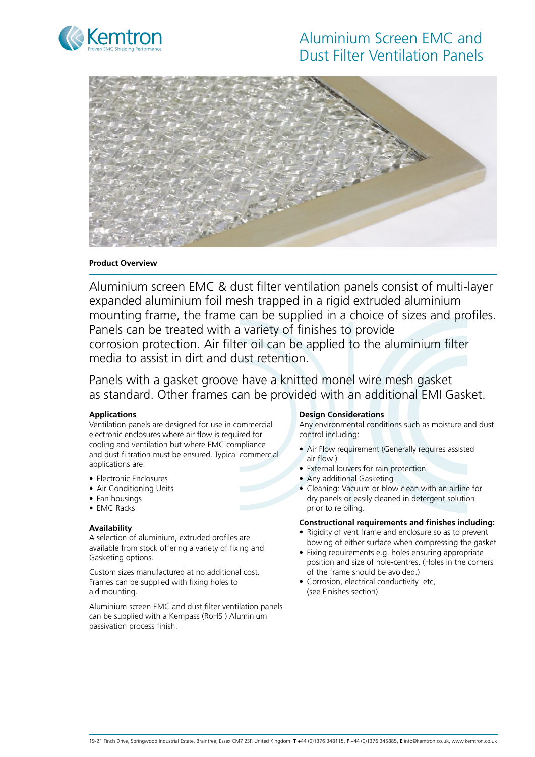

# Aluminium Screen EMC and Dust Filter Ventilation Panels



#### **Product Overview**

Aluminium screen EMC & dust filter ventilation panels consist of multi-layer expanded aluminium foil mesh trapped in a rigid extruded aluminium mounting frame, the frame can be supplied in a choice of sizes and profiles. Panels can be treated with a variety of finishes to provide corrosion protection. Air filter oil can be applied to the aluminium filter media to assist in dirt and dust retention.

Panels with a gasket groove have a knitted monel wire mesh gasket as standard. Other frames can be provided with an additional EMI Gasket.

#### **Applications**

Ventilation panels are designed for use in commercial electronic enclosures where air flow is required for cooling and ventilation but where EMC compliance and dust filtration must be ensured. Typical commercial applications are:

- Electronic Enclosures
- Air Conditioning Units
- Fan housings
- FMC Racks

#### **Availability**

A selection of aluminium, extruded profiles are available from stock offering a variety of fixing and Gasketing options.

Custom sizes manufactured at no additional cost. Frames can be supplied with fixing holes to aid mounting.

Aluminium screen EMC and dust filter ventilation panels can be supplied with a Kempass (RoHS ) Aluminium passivation process finish.

#### **Design Considerations**

Any environmental conditions such as moisture and dust control including:

- Air Flow requirement (Generally requires assisted air flow )
- External louvers for rain protection
- Any additional Gasketing
- Cleaning: Vacuum or blow clean with an airline for dry panels or easily cleaned in detergent solution prior to re oiling.

#### **Constructional requirements and finishes including:**

- Rigidity of vent frame and enclosure so as to prevent bowing of either surface when compressing the gasket
- Fixing requirements e.g. holes ensuring appropriate position and size of hole-centres. (Holes in the corners of the frame should be avoided.)
- Corrosion, electrical conductivity etc, (see Finishes section)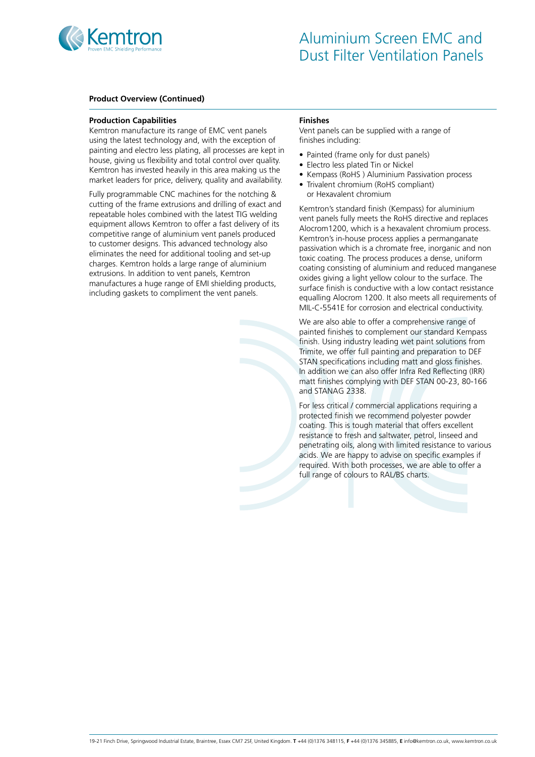

#### **Product Overview (Continued)**

#### **Production Capabilities**

Kemtron manufacture its range of EMC vent panels using the latest technology and, with the exception of painting and electro less plating, all processes are kept in house, giving us flexibility and total control over quality. Kemtron has invested heavily in this area making us the market leaders for price, delivery, quality and availability.

Fully programmable CNC machines for the notching & cutting of the frame extrusions and drilling of exact and repeatable holes combined with the latest TIG welding equipment allows Kemtron to offer a fast delivery of its competitive range of aluminium vent panels produced to customer designs. This advanced technology also eliminates the need for additional tooling and set-up charges. Kemtron holds a large range of aluminium extrusions. In addition to vent panels, Kemtron manufactures a huge range of EMI shielding products, including gaskets to compliment the vent panels.

#### **Finishes**

Vent panels can be supplied with a range of finishes including:

- Painted (frame only for dust panels)
- Electro less plated Tin or Nickel
- Kempass (RoHS) Aluminium Passivation process
- Trivalent chromium (RoHS compliant) or Hexavalent chromium

Kemtron's standard finish (Kempass) for aluminium vent panels fully meets the RoHS directive and replaces Alocrom1200, which is a hexavalent chromium process. Kemtron's in-house process applies a permanganate passivation which is a chromate free, inorganic and non toxic coating. The process produces a dense, uniform coating consisting of aluminium and reduced manganese oxides giving a light yellow colour to the surface. The surface finish is conductive with a low contact resistance equalling Alocrom 1200. It also meets all requirements of MIL-C-5541E for corrosion and electrical conductivity.

We are also able to offer a comprehensive range of painted finishes to complement our standard Kempass finish. Using industry leading wet paint solutions from Trimite, we offer full painting and preparation to DEF STAN specifications including matt and gloss finishes. In addition we can also offer Infra Red Reflecting (IRR) matt finishes complying with DEF STAN 00-23, 80-166 and STANAG 2338.

For less critical / commercial applications requiring a protected finish we recommend polyester powder coating. This is tough material that offers excellent resistance to fresh and saltwater, petrol, linseed and penetrating oils, along with limited resistance to various acids. We are happy to advise on specific examples if required. With both processes, we are able to offer a full range of colours to RAL/BS charts.